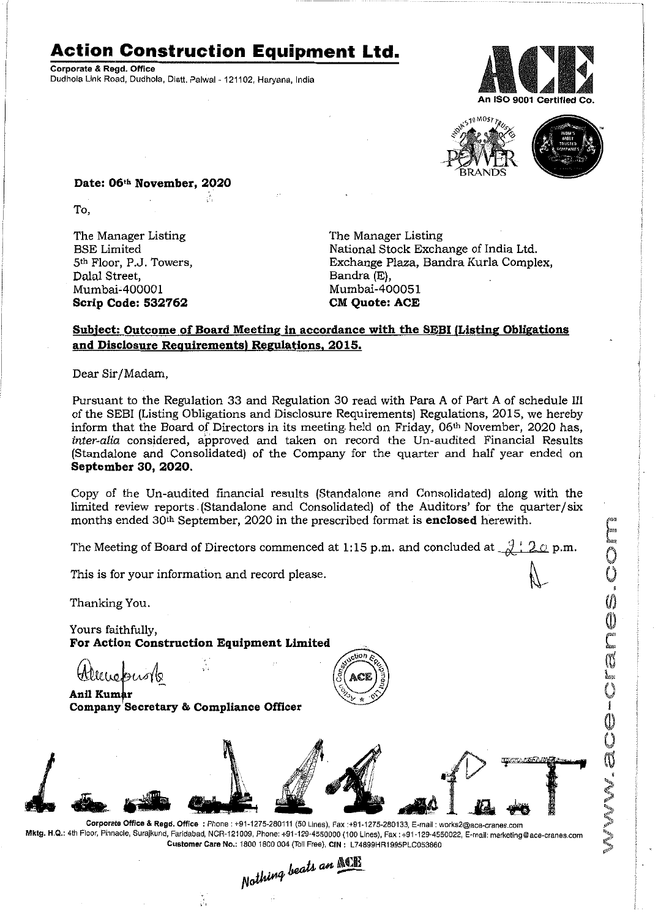## **Action Construction Equipment Ltd.**

~.i

Corporate & Regd. Office Dudhola Link Road, Dudhola, Distt. Palwal-121102, Haryana, India





~.

MW.ace-cranes.com

I'

Date: 06<sup>th</sup> November, 2020

To,

The Manager Listing BSE Limited 5th Floor, P.J. Towers, Dalal Street, Mumbai-400001 **Scrip Code: 532762**

The Manager Listing National Stock Exchange of India Ltd. Exchange Plaza, Bandra Kurla Complex, Bandra (E), Mumbai-400051 **CM** Ouote: ACE

### **Subject: Outcome of Board Meeting in accordance with the SEBI (Listing Obligations and Disclosure Requirements) Regulations. 2015.**

Dear Sir/Madam,

Pursuant to the Regulation 33 and Regulation 30 read with Para A of Part A of schedule III of the SEB! (Listing Obligations and Disclosure Requirements) Regulations, 2015, we hereby inform that the Board of Directors in its meeting. held on Friday, 06th November, 2020 has, *inter-alia* considered, approved and taken on record the Un-audited Financial Results (Standalone and Consolidated) of the Company for the quarter and half year ended on **September 30, 2020.**

Copy of the Un-audited financial results (Standalone ann Consolidated) along with the limited review reports. (Standalone and Consolidated) of the Auditors' for the quarter/six months ended 30th September, 2020 in the prescribed format is **enclosed** herewith.

The Meeting of Board of Directors commenced at 1:15 p.m. and concluded at  $\frac{1}{N}$ : 2.0 p.m.

This is for your information and record please.

Thanking You.

Yours faithfully, **For Action Construction Equipment Limited**

š,

ttlemepuo118

**Anil** Kumar **Company Secretary & Compliance Officer**





Corporate Office & Regd. Office: Phone: +91-1275-280111(50 Lines), Fax:+91-1275-280133, E-mail: works2@ace-cranes.com Mktg. H.Q.: 4th Floor, Pinnacle,Surajkund, Faridabad, NCR-121009, Phone: *+91-129-4550000* (100 Lines), Fax: +91-129-4550022, E-mail: marketing@ace-cranes.com Customer Care No.: 1800 1800 004 (Toll Free), CIN: L74899HR1995PLC053860

Nothing beats an ACB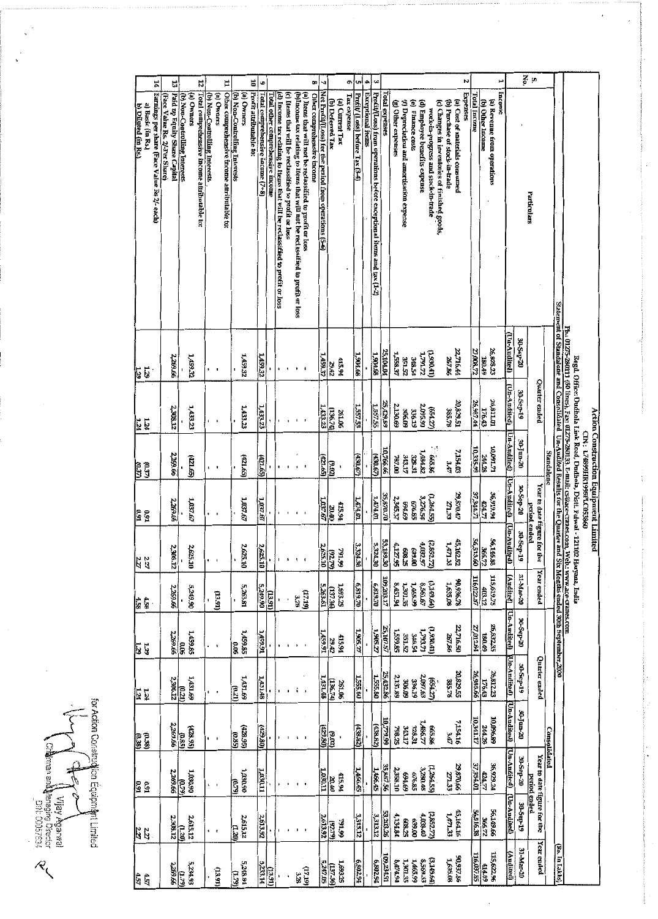| Ħ,<br>Ľ,                                                                                |                                                              | 12                                                                                         |                                             | E                                           |                                             | ä<br>$\bullet$                                              |                                  |                                                                              |                                                       |                                                                                                                                              | œ                          | N,                                                     |                                         |                                | ō                               | G            | ÷,                                                                                              | $\boldsymbol{\omega}$ |                    |                                                                                       |                                           |                   |                               |                                                                                      |                                | N                                          |                     |                    | پ                                     |                  | Š                       | à,                                                 |                   |                |                                                                                                                                                                                                                              |  |
|-----------------------------------------------------------------------------------------|--------------------------------------------------------------|--------------------------------------------------------------------------------------------|---------------------------------------------|---------------------------------------------|---------------------------------------------|-------------------------------------------------------------|----------------------------------|------------------------------------------------------------------------------|-------------------------------------------------------|----------------------------------------------------------------------------------------------------------------------------------------------|----------------------------|--------------------------------------------------------|-----------------------------------------|--------------------------------|---------------------------------|--------------|-------------------------------------------------------------------------------------------------|-----------------------|--------------------|---------------------------------------------------------------------------------------|-------------------------------------------|-------------------|-------------------------------|--------------------------------------------------------------------------------------|--------------------------------|--------------------------------------------|---------------------|--------------------|---------------------------------------|------------------|-------------------------|----------------------------------------------------|-------------------|----------------|------------------------------------------------------------------------------------------------------------------------------------------------------------------------------------------------------------------------------|--|
| Earnings per share (Face Value Rs 2/- each)<br>a) Basic (in Rs.)<br>b) Diluted (in Rs.) | Paid up Equity Share Capital<br>(Face Value Rs. 2/Per Share) | Total comprehensive income attributable to:<br>(a) Owners<br>(b) Non-Controlling Interests | (b) Non-Controlling Interests<br>(a) Owners | Other comprehensive income attributable to: | (a) Owners<br>(b) Non-Controlling Interests | Profit attributable to:<br>Total comprehensive income (7+8) | Total other comprehensive income | (d) Income tax relating to Items that will be reclassified to profit or loss | (c) Items that will be reclassified to profit or loss | (b)Income tax relating to Items that will not be reclassified to profit or loss<br>(a) liems that will not be reclassified to profit or loss | Other comprehensive income | Net Profit/(Loss) for the period from operations (5-6) | (b) Deferred Tax                        | Tax expense<br>(a) Current Tax | Profit/ (Loss) before Tax (3-4) |              | Profit/Loss) from operations before exceptional items and tax (1-2)<br><b>Exceptional items</b> |                       | Total expenses     | (g) Other expenses                                                                    | (f) Depreciation and amortisation expense | (e) Finance costs | (d) Employee benefits expense | (c) Changes in inventories of finished goods,<br>work-in-progress and stock-in-trade | (b) Purchase of stock-in-trade | Expenses<br>(a) Cost of materials consumed | <b>Total Income</b> | (b) Other Income   | Income<br>(a) Revenue from operations |                  |                         | Particulars                                        |                   |                |                                                                                                                                                                                                                              |  |
| 1.29<br>129                                                                             | 2,269.66                                                     | 1,459.32                                                                                   |                                             |                                             | 1,459.32                                    | 1,459.32                                                    |                                  |                                                                              |                                                       |                                                                                                                                              |                            | 1/59.32                                                | 29.42                                   | 415.94                         | 1,904.68                        |              | 1,904.68                                                                                        |                       | 25,104.04          | 1,558.37                                                                              | 23152                                     | <b>PT 8PC</b>     | 1,791.72                      | (1, 90.41)                                                                           | 267.86                         | 22,716.44                                  | 27,008.72           | 180.49             | 26,828.23                             | (Un-Audited)     | 30-Sep-20               |                                                    |                   |                | Ph.: 01275-280111 (50 lines), Fax: 01275-280133. E-mali. cs@ace-cranes.com, Web.: www.ace-cranes.com<br>Statement of Standalone and Consolidated Un-Audited Results for the Quarter and Six Months ended 30th September.2020 |  |
| 1.24<br>1.24                                                                            | 2,308.12                                                     | 1,433.23                                                                                   |                                             |                                             | 1,433.23                                    | 1,433.23                                                    |                                  |                                                                              |                                                       |                                                                                                                                              |                            | 1,433.23                                               | (136.74)                                | 261.06                         |                                 | 357.55       |                                                                                                 | <b>1,557.55</b>       | 25,429.89          | 2,130.69                                                                              | 306.09                                    | 336.19            | 2,095.90                      | (554.27)                                                                             | 385.78                         | 10,629.51                                  | 26,987.44           | 176.43             | 26,811.01                             | (Un-Andited)     | 90-Sep-19               | Quarter ended                                      |                   |                | Regd. Office: Dudhola Link Road, Dudhola, Distt. Palwal - 121102                                                                                                                                                             |  |
| (250)<br>(C37)                                                                          | 2,269.66                                                     | (22.65)                                                                                    | $\blacksquare$                              |                                             | (59'175)                                    | (22.65)                                                     |                                  |                                                                              |                                                       |                                                                                                                                              |                            | (53.55)                                                | em                                      |                                |                                 | (4.30.67)    |                                                                                                 | (430.67)              | 10,766.66          | 787.00                                                                                | 343.17                                    | 12.828            | 1,484.82                      | 88.86                                                                                | 3.47                           | 7,154.03                                   | 10,335.99           | 244.28             | LZ 160'01                             | Un Audited)      | 30-jun-20               |                                                    | <b>Standalone</b> |                | Action Construction Equipment Limited<br>CIN: L7489HR1995FLC053860                                                                                                                                                           |  |
| 0.91<br>0.91                                                                            | 2,269.66                                                     | 1,037.67                                                                                   | $\blacksquare$                              |                                             | 1,037.67                                    | 1,037.67                                                    |                                  |                                                                              |                                                       |                                                                                                                                              |                            | 1,037.67                                               | $rac{1}{\sqrt{2}}$                      | 415.94                         |                                 | 1474.01      |                                                                                                 | <b>1,474.01</b>       | 35,870.70          | 2,345.37                                                                              | 69769                                     | 676.85            | 3,276.54                      | (1,264.55)                                                                           | <b>Z71.33</b>                  | 29,870.4                                   | <b>S7,344.71</b>    | 424.77             | <b>PG1692</b>                         | Un-Audited       | 30 Sep-20               | Year to date figure for the<br>period ended        |                   |                |                                                                                                                                                                                                                              |  |
| 2.27                                                                                    | 2,308.12                                                     | 2,625.10                                                                                   |                                             |                                             | 2,625.10<br>l t                             | $\frac{2.625 \times 10}{25}$                                |                                  |                                                                              |                                                       |                                                                                                                                              |                            | 192.79)<br>2.625.10                                    |                                         | 66 I.64                        |                                 | 3.324<br>ไะ็ |                                                                                                 | 3,324.30              | 53,189.30          | $\begin{array}{r} (2.852.77) \\ 4.032.97 \\ 639.00 \\ 638.25 \\ 4.127.95 \end{array}$ |                                           |                   |                               |                                                                                      |                                | 45,162.52<br>1,471.33                      |                     |                    | 56.146.88<br>366.72<br>56.513.60      | (Un-Audited)     | 30-Sep-19               |                                                    |                   |                |                                                                                                                                                                                                                              |  |
| 4.58                                                                                    | 2,269.66                                                     | 5,249.90                                                                                   | (12.91)                                     |                                             | 5,263.81                                    | 5.249.90                                                    | $\frac{1}{2}$                    |                                                                              |                                                       | (17.79)<br>3.28                                                                                                                              |                            |                                                        | 1,693.25<br><u>1,87.36)</u><br>5,263.81 |                                |                                 | 0.618.9      |                                                                                                 | 02.618,9              | <b>TIPS 203.17</b> | <b>P6T978</b>                                                                         | 1,301.35                                  | 1,465.99          | 8,561.67                      | (3.149.64)                                                                           | 1,635.08                       | 90,936.78                                  |                     | 116,022.87         | 115,619.75                            | <u>(Audited)</u> | 31-Mar-20               | <b>Year</b> ended                                  |                   |                | Haryana, India                                                                                                                                                                                                               |  |
| $\frac{5}{12}$                                                                          | 2,269.66                                                     | 1,459.85<br>$\frac{6}{10}$                                                                 | $\overline{\mathbf{1}}$                     |                                             | 1,459.85<br>90'0                            | $\frac{1}{458}$                                             |                                  | $\blacksquare$                                                               |                                                       |                                                                                                                                              |                            | 1/459.91                                               | $\frac{3}{6}$                           | 415.94                         |                                 | 1,305.27     |                                                                                                 | 1,905.27              | 25,107.57          | 1,559.85                                                                              | 351.52                                    | <b>VS 89E</b>     | 1,793.71                      | $(1.930 \text{ ft})$                                                                 |                                | 98'197<br>05'91'22                         | <b>Z7,012.84</b>    | 180.49             | 26,832,35                             | Un Audited)      | 30 Sep-20               |                                                    |                   |                |                                                                                                                                                                                                                              |  |
| 1.24<br>1.24                                                                            |                                                              | $\frac{(0.21)}{2,308.12}$<br>1,431.69                                                      |                                             |                                             | 1,431.69<br>(0.21)                          | 1,431.48                                                    |                                  |                                                                              |                                                       |                                                                                                                                              |                            | 1,431.48                                               | (136.74)                                | 261.06                         |                                 | 1,555.80     |                                                                                                 | 1,555.80              | 25,432.86          | 2,131.89                                                                              | 306.09                                    | 336.19            | 2,097.63                      | (654.27)                                                                             |                                | 92.952<br>SSS-385.78                       | 26,988.66           | 176.43             | 26,812.23                             | (Un-Audited)     | 30 Sep-19               | Quarter ended                                      |                   |                |                                                                                                                                                                                                                              |  |
| (0.38)<br>(0.38)                                                                        |                                                              | $\begin{array}{r}\n(428.95) \\ (0.85) \\ 2,269.66\n\end{array}$                            | $\blacksquare$                              |                                             | $\frac{(28.9)}{(285)}$                      | <u>(129.80)</u>                                             |                                  |                                                                              |                                                       |                                                                                                                                              |                            | (08, 80)                                               | $\frac{6.022}{2}$                       |                                |                                 | (438.82)     |                                                                                                 | (438.82)              | 0.779.99           | 343.17<br>798.25                                                                      |                                           | 328.31            | 1,486.77                      | 665.86                                                                               | 3.47                           | 7,154.16                                   | 10,341.17           | 244.28             | <b>10,096.89</b>                      | Un-Audited)      | $\alpha$ -unf- $\alpha$ |                                                    | Consolidated      |                |                                                                                                                                                                                                                              |  |
| 0.91<br>0.91                                                                            |                                                              | $\frac{(0.79)}{2,269.66}$<br>06°080'T                                                      | $\mathbf{I}$                                |                                             | 06'080'L<br>$\frac{6}{20}$                  | <b>TIGGTT</b>                                               |                                  |                                                                              |                                                       |                                                                                                                                              |                            | 1.030.11                                               | 00.40                                   | 415.94                         |                                 | 1,466.45     |                                                                                                 | 1,466.45              | 35,887.56          | 2,358.10                                                                              | 69169                                     | 676.85            | 3,280.48                      | (1,264.55)                                                                           | 271.33                         | 29,870.66                                  | 37.354.01           |                    | 36,929.24<br>PC 628.36                | (Un-Audited)     | $30-5p-20$              | Year to date figure for the<br><b>Period</b> ended |                   |                |                                                                                                                                                                                                                              |  |
| 227<br>227                                                                              |                                                              | 2,615.12<br>$\frac{(1.20)}{2,308.12}$                                                      | $\cdot$                                     |                                             | 2,615.12<br>$\overline{w}$ ij               | 2,613.92                                                    |                                  |                                                                              |                                                       |                                                                                                                                              |                            | 2613.92                                                | 62.26                                   | 66'162                         |                                 | 3,313.12     |                                                                                                 | 3,313.12              | 53,203,26          | 4,134.84                                                                              | 608.25                                    | 00'669            | 4,038.40                      | (2, 852, 72)                                                                         |                                | 1,471.33                                   | 56,516.38           | 366.72             | 99 GFL99                              | (Un-Audited)     | <b>30-Sep-19</b>        |                                                    |                   |                |                                                                                                                                                                                                                              |  |
| 457                                                                                     |                                                              | 5,234.93<br>$\frac{(1.79)}{2,269.66}$                                                      | (13.91)                                     |                                             | 5,248.84<br>$\overline{u}$                  |                                                             | $\frac{(13.91)}{2.233.14}$       |                                                                              |                                                       | (17.19)<br>3.28                                                                                                                              |                            | $-247.05$                                              | 92.36                                   | 1,693.25                       |                                 | 6,802.94     |                                                                                                 | 6,802.94              | 109,234.91         | 8,474.94                                                                              | 1,301.35                                  | 1,465.99          | (3,149.64)<br>8,569.33        |                                                                                      | 1,635.08                       | 96,937.86                                  | 116,037.85          | $\frac{414.89}{2}$ | 115,622.96                            | (Audited)        | 31-Mar-20               | Year ended                                         |                   | (Rs. In Lakhs) |                                                                                                                                                                                                                              |  |

for Action Corstruction Equipment Limited  $\mathcal{L}$ <br>command dispersive computer  $\mathcal{L}$ β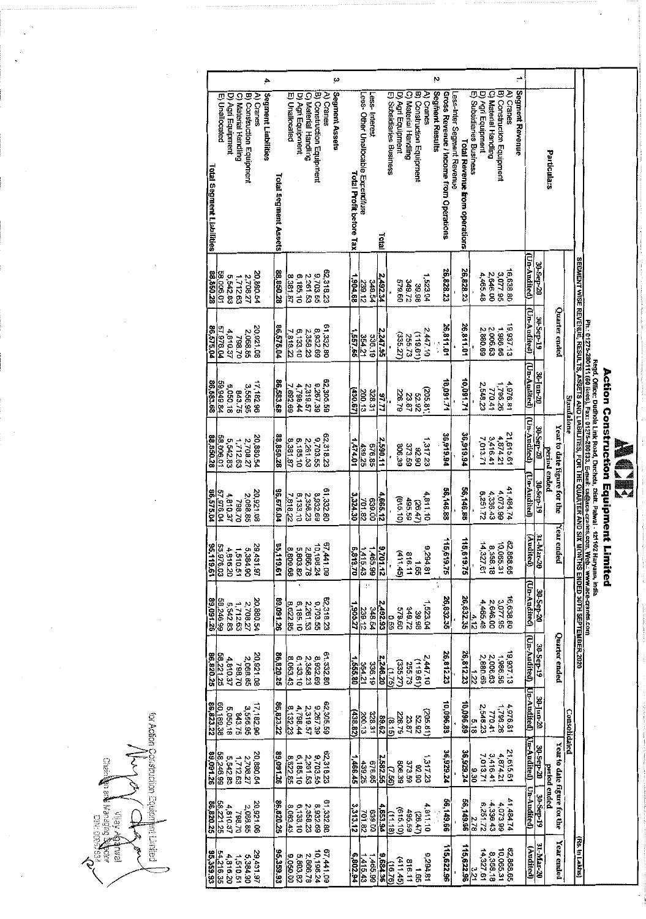| ֧֦֧֢֦֧֦֧֦֧֦֖֖֚֚֚֚֬֝֝֬<br>֧֚֚֚֝ |                          |
|--------------------------------|--------------------------|
|                                |                          |
|                                | $\sqrt{2}$               |
|                                |                          |
|                                |                          |
|                                | $\overline{\phantom{a}}$ |
|                                |                          |
|                                |                          |
|                                |                          |
|                                |                          |

# Action Construction Equipment Limited<br>Regd.office: During Limit Read, During, Dat. Patwa - 121402 Haryana, India<br>mode: During Limit Read, During, Dat. Patwa - 121402 Haryana, India

|           |                                      |                   |                      |                           |            | 4.                  |                      |                      |                   |                                  |                           |            | ω              |                             |                                    |               |              |                          |                    |                      |                           |           | N                      |                                        |                            |                               |                          |                   |                      |                           |                       |                 |                        |           |              |                             |              |                                                                                                                |                                                                                                      |
|-----------|--------------------------------------|-------------------|----------------------|---------------------------|------------|---------------------|----------------------|----------------------|-------------------|----------------------------------|---------------------------|------------|----------------|-----------------------------|------------------------------------|---------------|--------------|--------------------------|--------------------|----------------------|---------------------------|-----------|------------------------|----------------------------------------|----------------------------|-------------------------------|--------------------------|-------------------|----------------------|---------------------------|-----------------------|-----------------|------------------------|-----------|--------------|-----------------------------|--------------|----------------------------------------------------------------------------------------------------------------|------------------------------------------------------------------------------------------------------|
|           | E) Unallocated                       | D) Agri Equipment | C) Material Handling | B) Construction Equipment | A) Cranes  | Segment Liabilities | Total Segment Assets | E) Unallocated       | D) Agri Equipment | C) Material Handling             | B) Construction Equipment | A) Cranes  | Segment Assets | Total Profit before Tax     | Less-Other Unallocable Excenditure | Less Interest | <b>Lotal</b> | E) Subsidiaries Business | D) Agri Equipment  | C) Material Handling | B) Construction Equipment | A) Cranes | <b>Segment Results</b> | Gross Revenue / Income from Operations | Less-Inter Segment Revenue | Total Revenue trom operations | E) Subsidiaries Business | D) Agri Equipment | C) Material Handling | B) Construction Equipment | A) Cranes             | Segment Revenue |                        |           | Particulars  |                             |              |                                                                                                                |                                                                                                      |
| 88,850.28 | 58,006.01                            | 5,542.83          | 1,712.63             | 2,708.27                  | 20,880.54  |                     | 88,850.28            | 8,381.87             | 6,185.10          | 2,261.53                         | 9,703.55                  | 62,318.23  |                | 83.408,                     | 239.12                             | 348.54        | 2,492.34     |                          | 09625              | 349.72               | 39.98                     | 1,523.04  |                        | 26,828.23                              |                            | 26,828.23                     |                          | 4,465.48          | 2,646.00             | 3,077.95                  | 16,638.80             |                 | Un-Audited)            | 30-Sep-20 |              |                             |              |                                                                                                                |                                                                                                      |
| 86,575.04 | 57 976.04                            | 4,810.37          | 798.70               | 2,068.85                  | 20,921.08  |                     | 86,575.04            | 7818.22              | 6,133.10          | 2,358.23                         | 8,932.69                  | 61,332.80  |                | 397.55                      | 354.21                             | 336.19        | 2,247.95     |                          | (335.27)           | 255.73               | (19.611)                  | 2447.10   |                        | 26,811.01                              |                            | 26,811.01                     |                          | 2,880.69          | 2,006.63             | 1,986.56                  | 19,937.13             |                 | (Un-Audited)           | 30-Sep-19 |              | Quarter ended               |              |                                                                                                                |                                                                                                      |
| 86,583.68 | 59,949.84                            | 5,050.18          | 843.75               | 3,556.95                  | 17, 182.96 |                     | 86,583.68            | 7,892.69             | 4,798.44          | 2,319.57                         | 9,267.39                  | 62, 305.59 |                | (430.67)                    | 200,13                             | 328.31        | ZZ'26        |                          | 226.79             | 23.87                | 25.92                     | (205.81)  |                        | 10,091.71                              |                            | 10,091.71                     |                          | 2,548.23          | 770.41               | 1,796.26                  | 4,976.81              |                 | (Un-Audited)           | 30-Jun-20 |              |                             |              | SEGMENT WISE REVENUE, RESULTS, ASSETS AND LIABILITES, FOR THE QUARTER AND SIX MONTHS ENDED 30TH SEPTEMBER 2020 |                                                                                                      |
| 88,850.28 | 58,006.01                            | 5,542.83          | 1,712.63             | 2,708.27                  | 20,880.54  |                     | 88,850.28            | 8,381.87             | 6,185.10          | 2,261.53                         | 9,703.55                  | 62,318.23  |                | 1474.01                     | 439.25                             | 676.85        | 2,590.11     |                          | 806.39             | 373.59               | 06'76                     | 1,317.23  |                        | 36,919.94                              |                            | 36,919.94                     |                          | 7,013.71          | 3,416.41             | 4,874.21                  | 21,615.61             |                 | (Un-Audited)           | 30-Sep-20 |              | Year to date figure for the | Standalone   |                                                                                                                | Ph.: 01275-280111 (50 lines), Fax: 01275-280133. E-mail: cs@ace-cranes.com, Web.: www.ace-cranes.com |
| 86,575.04 | 57 976.04                            | 4,810.37          | 798.70               | 2,068.85                  | 20,921.08  |                     | 86,575.04            | 7.818.22             | 6,133.10          | 2,358.23                         | 8,932.69                  | 61,332.80  |                | 3,324.30                    | 701.82                             | 00689         | 4,665.12     |                          | (615.10)           | 495.59               | (26.47)                   | 4.811.10  |                        | 56,146.88                              |                            | 56,146.88                     |                          | 6,251.72          | 4 336.43             | 4 073.99                  | 41 484.74             |                 | <b>Un-Audited</b>      | 30-Sep-19 | period ended |                             |              |                                                                                                                |                                                                                                      |
|           | <b>S3,976.03</b><br><b>SS,119.61</b> | 4,816.20          | 1,510.51             | 084.90                    | 29,431.97  |                     | 95,119.61            |                      |                   | 2,866.78<br>5,803.82<br>8,809.68 | 10,198.24                 | 67,441.09  |                | $\frac{1,415,43}{5,819.70}$ |                                    | 1,465.99      | 9,701.12     |                          | <u>تو</u><br>11.45 | ထု<br>10.11          | 1.65                      | 3,294.81  |                        | 115,619.75                             |                            | 115,61<br>$\frac{2}{3}$       |                          | 14,327.61         | 8,358.18             | 10,065.31                 | 82,868.65             |                 | 31-Mar-20<br>(Audited) |           |              | Year ended                  |              |                                                                                                                |                                                                                                      |
| 89,091.26 | 66.246.99                            | 5,542.83          | 1,712.63             | 2,708.27                  | 20,880.54  |                     | 89,091.26            | 8,622.85             | 6,185.10          | 2,261.53                         | 9,703.55                  | 62,318.23  |                | 1,908.27                    | 239.12                             | 348.54        | 2,492.93     | 690                      | 09'629             | 349.72               | 39.98                     | 1,523.04  |                        | 26,832.35                              |                            | 26,832.35                     | 4.12                     | 4,465.48          | 2,646.00             |                           | 16,638.80<br>3,077.95 |                 | (Un-Audited)           | 30 Sep-20 |              |                             |              |                                                                                                                |                                                                                                      |
| 86,820.25 | 58,221,25                            | 4,810.37          | 798.70               | 2,068.85                  | 20,921.08  |                     | 86,820.25            | 8,063,43             | 6,133.10          | 2,358.23                         | 8,932.69                  | 61,332.80  |                | 1555.80                     | 354.21                             | 336.19        | 2,246.20     | $\frac{1}{2}$            | (335.27)           | 255.73               | (18.61)                   | 2,447.10  |                        | 26,812.23                              |                            | 26,812.23                     | 1.22                     | 2,880.69          | 2,006.63             | 1,986.56                  | 19,937.13             |                 | (Un-Audited)           | 30 Sep-19 |              | Quarter ended               |              |                                                                                                                |                                                                                                      |
| 86,823.22 | 60,189.38                            | 5,050.18          | 843.75               | $17,182.96$<br>3,556.95   |            |                     | 86,823.22            | 8,132.23             | 4,798.44          | 2,319.57                         | 9,267.39                  | 62,305.59  |                | (438.82)                    | 200.13                             | 328.31        | $rac{6}{86}$ |                          | 97.85.79           | 23.87                | 52.92                     | (305.81)  |                        | 10,096.89                              |                            | 10,096.89                     | 5.18                     | 2,548.23          | 770.41               | 1,796.26                  | 4,976.81              |                 | Un Audited)            | 30-Jun-20 |              |                             | Consolidated |                                                                                                                |                                                                                                      |
| 89,091.26 | 58,246.99                            | 5,542.83          | 1,712.63             | 2,708.27                  | 20,880.54  |                     | 89,091.26            | 8,622.85             | 6,185.10          | 2,261.53                         | 9,703.55                  | 62,318.23  |                | 1,466.45                    | 439.25                             | 676.85        | 2,582.55     | <b>R.SO</b>              | 806.39             | 373.59               | 05'76                     | 1,317.23  |                        | 36,929.24                              |                            | 36,929.24                     | 02.90                    | 7,013.71          | 3,416.41             | 4,874.21                  | 21,615.61             |                 | Un-Audited)            | 30-Sep-20 | period ended | Year to date figure for the |              |                                                                                                                |                                                                                                      |
| 86,820.25 | 58,221.25                            | 4,810.37          | 798.70               | 2,068.85                  | 80.126.02  |                     | 86,820.25            | 8,063.43             | 6,133.10          | 2,358.23                         | 8,932.69                  | 61,332.80  |                | 3, 313.12                   | 701.82                             | 00'629        | 4,653.94     | (11.18)                  | (615, 10)          | 495.59               | (26.47)                   | 4,811.10  |                        | 56,149.66                              |                            | 56,149.66                     | 2.78                     | 6,251.72          | 4,336.43             | 4,073.99                  | 41,484.74             |                 | Un-Audited)            | 30-Sep-19 |              |                             |              |                                                                                                                |                                                                                                      |
|           | 54,216.35                            | 4,816.20          | 1,510.51             | 5,384.90                  | 29.431.97  |                     | 95,359.93            | 5,803.82<br>9,050.00 |                   | 2,866.78                         | 10,198.24                 | 67 441.09  |                | 6,802.94                    | 1415.43                            | 1,465.99      | 9,684.36     | (16.76)                  | (411.45)           | 816.11               | 591                       | 8.294.81  |                        | 115,622.96                             |                            | 115,622.96                    | 3.21                     | 14,327.61         | 8,358.13             | 10,065.31                 | 82,868.65             |                 | (Audited)              | 31-Mar-20 |              | Year ended                  |              | (Rs. In Lakhs)                                                                                                 |                                                                                                      |

for Addon Corstruction Equipm てんみ Alaph **bni Limited** २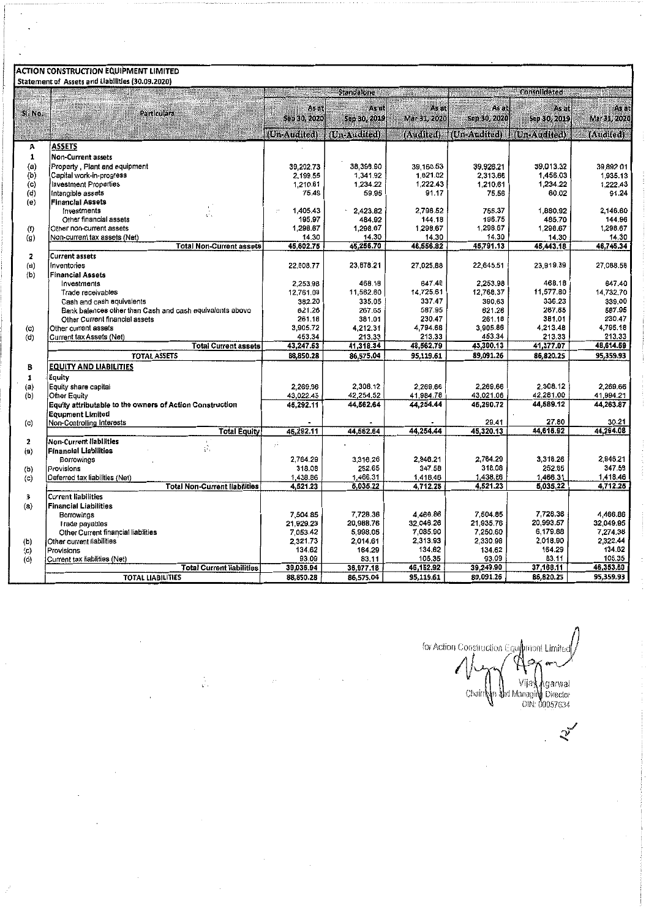# **ACTION CONSTRUCTION EQUIPMENT LIMITED**<br>Statement of Assets and Liabilities (30.09.2020)

|                   | Jealennent Of Assets and Liabilities (JU.UJ.ZUZU)        |              | <b>Standalone</b> |              |              | <b>Consolidated</b> |              |
|-------------------|----------------------------------------------------------|--------------|-------------------|--------------|--------------|---------------------|--------------|
| <b>ANNER</b>      |                                                          |              |                   |              |              |                     |              |
| SI. No.           | <b>Particulars</b>                                       | As at        | As at             | As at        | As at        | As at               | As at        |
|                   |                                                          | Sep 30, 2020 | Sep 30, 2019      | Mar 31, 2020 | Sep 30, 2020 | Sep 30, 2019        | Mar 31, 2020 |
|                   |                                                          |              |                   |              |              |                     |              |
|                   |                                                          | (Un-Audited) | (Un-Audited)      | (Audited)    | (Un-Audited) | (Un-Audited)        | (Audited)    |
| А                 | ASSETS                                                   |              |                   |              |              |                     |              |
| 1                 | <b>Non-Current assets</b>                                |              |                   |              |              |                     |              |
| (a)               | Property, Plant and equipment                            | 39,202.73    | 38,398.90         | 39,168.53    | 39.926.21    | 39.013.32           | 39.892.01    |
| (b)               | Capital work-in-progress                                 | 2,199.55     | 1,341.92          | 1,821.02     | 2,313.66     | 1,456.03            | 1,935.13     |
| (c)               | <b>Investment Properties</b>                             | 1,210.61     | 1,234.22          | 1,222.43     | 1,210.61     | 1,234.22            | 1,222.43     |
| (d)               | intangible assets                                        | 75.49        | 59.95             | 91.17        | 75.56        | 60.02               | 91.24        |
| (e)               | <b>Financial Assets</b>                                  |              |                   |              |              |                     |              |
|                   | Investments                                              | 1,405.43     | 2.423.82          | 2,796.52     | 755.37       | 1,880.92            | 2 146.60     |
|                   | Other financial assets                                   | 195.97       | 484.92            | 144.18       | 196.75       | 485.70              | 144.96       |
| (f)               | Other non-current assets                                 | 1,298.67     | 1,298.67          | 1,298.67     | 1,298.67     | 1.298.67            | 1,298.67     |
| (g)               | Non-current tax assets (Net)                             | 14.30        | 14.30             | 14.30        | 14.30        | 14.30               | 14.30        |
|                   | <b>Total Non-Current assets</b>                          | 46,602.75    | 45,256.70         | 46,556.82    | 45,791.13    | 45,443.18           | 46,745.34    |
| $\overline{2}$    | <b>Current assets</b>                                    |              |                   |              |              |                     |              |
| (a)               | Inventories                                              | 22,608.77    | 23,878.21         | 27,025.88    | 22,645.51    | 23,919.39           | 27.068.56    |
| (b)               | <b>Financial Assets</b>                                  |              |                   |              |              |                     |              |
|                   | Investments                                              | 2,253.98     | 468.18            | 647.40       | 2,253.98     | 468.18              | 647.40       |
|                   | Trade receivables                                        | 12,761.08    | 11,562.60         | 14,725.61    | 12,768.37    | 11,577.80           | 14,732.70    |
|                   | Cash and cash equivalents                                | 382.20       | 335.05            | 337.47       | 390.63       | 336.23              | 339.00       |
|                   | Bank balances other than Cash and cash equivalents above | 621.26       | 267.65            | 587.95       | 621.26       | 267.65              | 587.95       |
|                   | Other Current financial assets                           | 261.18       | 381.01            | 230.47       | 261.18       | 381.01              | 230.47       |
| (c)               | Other current assets                                     | 3,905.72     | 4,212.31          | 4,794.68     | 3,905.86     | 4,213.48            | 4,795.18     |
| (d)               | Current tax Assets (Net)<br><b>Total Current assets</b>  | 453.34       | 213.33            | 213.33       | 453.34       | 213.33              | 213.33       |
|                   |                                                          | 43,247.53    | 41,318.34         | 48,562.79    | 43,300.13    | 41,377.07           | 48,614.59    |
|                   | TOTAL ASSETS                                             | 88,850.28    | 86,575.04         | 95,119.61    | 89,091.26    | 86,820.25           | 95,359.93    |
| B                 | <b>EQUITY AND LIABILITIES</b>                            |              |                   |              |              |                     |              |
| $\mathbf{1}$      | Equity                                                   |              |                   |              |              |                     |              |
| (a)               | Equity share capital                                     | 2,269.66     | 2,308.12          | 2,269.66     | 2,269.66     | 2,308.12            | 2,269.66     |
| (b)               | <b>Other Equity</b>                                      | 43,022.45    | 42,254.52         | 41,984.78    | 43,021.06    | 42,281.00           | 41,994.21    |
|                   | Equity attributable to the owners of Action Construction | 45,292.11    | 44,562.64         | 44,254.44    | 45,290.72    | 44,589.12           | 44,263.87    |
|                   | <b>Equpment Limited</b>                                  |              |                   |              |              |                     |              |
| $\left( c\right)$ | Non-Controlling Interests                                |              |                   |              | 29.41        | 27.80               | 30.21        |
|                   | <b>Total Equity</b>                                      | 45,292.11    | 44,562.64         | 44,254.44    | 45,320.13    | 44,618.92           | 44,294.08    |
| $\mathbf{2}$      | <b>Non-Current liabilities</b><br>ś.                     | $\cdot$      |                   |              |              |                     |              |
| (a)               | <b>Financial Liabilities</b>                             |              |                   |              |              |                     |              |
|                   | Borrowings                                               | 2.764.29     | 3,316.26          | 2.946.21     | 2,764.29     | 3,316.26            | 2,946.21     |
| (b)               | Provisions                                               | 318.08       | 252.65            | 347.58       | 318.08       | 252.65              | 347.58       |
| (c)               | Deferred tax liabilities (Net)                           | 1,438.86     | 1,466.31          | 1,418.46     | 1,438.86     | 1,466.31            | 1,418.46     |
|                   | <b>Total Non-Current liabilities</b>                     | 4,521.23     | 5,035.22          | 4,712.25     | 4,521.23     | 5,035.22            | 4,712.25     |
| 3                 | <b>Current liabilities</b>                               |              |                   |              |              |                     |              |
| (a)               | <b>Financial Liabilities</b>                             |              |                   |              |              |                     |              |
|                   | Borrowings                                               | 7,504.85     | 7,728.36          | 4,466.86     | 7,504.85     | 7,728.36            | 4,466.86     |
|                   | I rade payables                                          | 21,929.23    | 20,988.76         | 32,046.26    | 21 935.76    | 20,993.57           | 32,049.95    |
|                   | Other Current financial liabilities                      | 7,053.42     | 5,998.05          | 7.085.90     | 7,250.60     | 6.179.88            | 7,274.38     |
| (b)               | Other current liabilities                                | 2,321.73     | 2,014.61          | 2.313.93     | 2.330.98     | 2,018.90            | 2,322.44     |
| (c)               | Provisions                                               | 134.62       | 164.29            | 134.62       | 134.62       | 164.29              | 134.62       |
| (d)               | Current tax liabilities (Net)                            | 93.09        | 83.11             | 105,35       | 93.09        | 83.11               | 105.35       |
|                   | <b>Total Current liabilities</b>                         | 39,036.94    | 36,977.18         | 46,152.92    | 39,249.90    | 37,168.11           | 46,353.60    |
|                   | <b>TOTAL LIABILITIES</b>                                 | 88,850.28    | 86,575.04         | 95,119.61    | 89,091.26    | 86,820.25           | 95,359.93    |

 $\label{eq:2} \frac{1}{2} \sum_{i=1}^n \frac{1}{2} \sum_{j=1}^n \frac{1}{2} \sum_{j=1}^n \frac{1}{2} \sum_{j=1}^n \frac{1}{2} \sum_{j=1}^n \frac{1}{2} \sum_{j=1}^n \frac{1}{2} \sum_{j=1}^n \frac{1}{2} \sum_{j=1}^n \frac{1}{2} \sum_{j=1}^n \frac{1}{2} \sum_{j=1}^n \frac{1}{2} \sum_{j=1}^n \frac{1}{2} \sum_{j=1}^n \frac{1}{2} \sum_{j=1}^n \frac{1}{$ 

 $\cdot$ 

for Action Construction Equipment Limited q Ċ l f U Chairn My Vijay Agarwal<br>Chairn My Monagin Director<br>DIN: 00057634

 $\mathcal{Z}$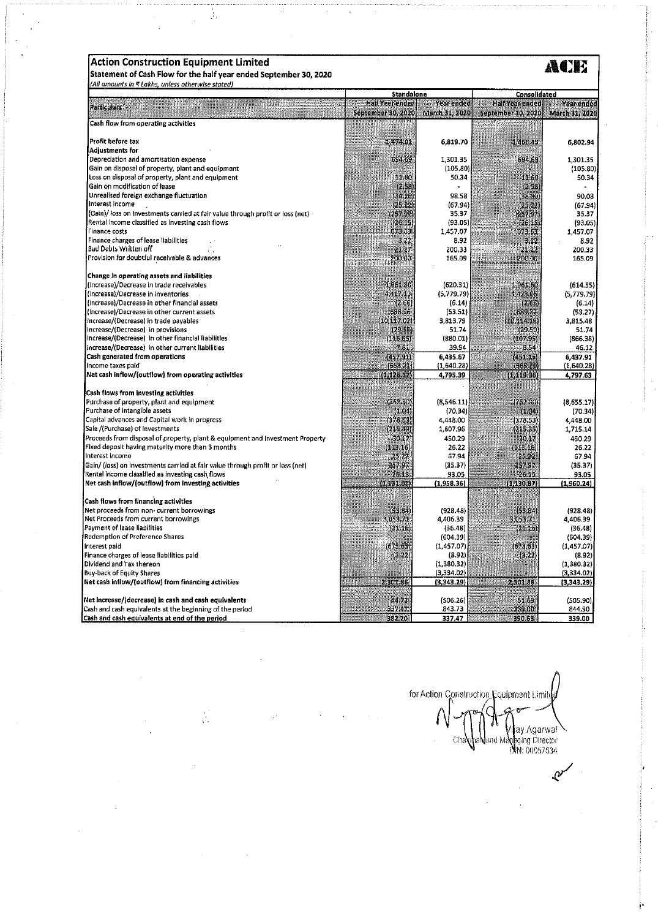| <b>Action Construction Equipment Limited</b>                                                                                       |                                              |                              |                                                     |                                            |
|------------------------------------------------------------------------------------------------------------------------------------|----------------------------------------------|------------------------------|-----------------------------------------------------|--------------------------------------------|
| Statement of Cash Flow for the half year ended September 30, 2020                                                                  |                                              |                              |                                                     |                                            |
| (All amounts in < Lakhs, unless otherwise stated)                                                                                  | <b>Standalone</b>                            |                              | Consolidated                                        |                                            |
| <b>Particulars</b><br><b>INDERNA</b><br><b>TIME COULD BE A 1999</b>                                                                | Half Year ended<br><b>September 30, 2020</b> | Year ended<br>March 31, 2020 | <b>Half Year ended</b><br><b>September 30, 2020</b> | <b>Year ended</b><br><b>March 31, 2020</b> |
| Cash flow from operating activities                                                                                                |                                              |                              |                                                     |                                            |
|                                                                                                                                    |                                              |                              |                                                     |                                            |
| Profit before tax<br><b>Adjustments for</b>                                                                                        | 1,474.01                                     | 6,819.70                     | 1,466.45                                            | 6,802.94                                   |
| Depreciation and amortisation expense                                                                                              | 694 69                                       | 1,301.35                     | 694.69                                              | 1,301,35                                   |
| Gain on disposal of property, plant and equipment                                                                                  |                                              | (105.80)                     |                                                     | (105.80)                                   |
| Loss on disposal of property, plant and equipment                                                                                  | 11.60                                        | 50.34                        | 11.60                                               | 50.34                                      |
| Gain on modification of lease                                                                                                      | (2,58)                                       | $\sim$                       | (2.58)                                              |                                            |
| Unrealised foreign exchange fluctuation                                                                                            | (34.26)                                      | 98.58                        | (38.30)                                             | 90.08                                      |
| Interest income                                                                                                                    | (25.22)                                      | (67.94)                      | [25, 22]                                            | (67.94)                                    |
| (Gain)/loss on Investments carried at fair value through profit or loss (net)                                                      | (257.97)                                     | 35.37                        | [257.97]                                            | 35,37                                      |
| Rental income classified as investing cash flows                                                                                   | (26.15)                                      | (93.05)                      | (26.15)                                             | (93.05)                                    |
| l'inance costs                                                                                                                     | 573.63                                       | 1,457.07                     | 673.63                                              | 1,457.07                                   |
| Finance charges of lease liabilities<br>Bad Debts Written off                                                                      | 3.22                                         | 8.92                         | 3.22                                                | 8.92                                       |
| Provision for doubtful receivable & advances                                                                                       | 21.27<br>200.00                              | 200.33<br>165,09             | 21.27<br>200.00                                     | 200.33<br>165.09                           |
|                                                                                                                                    |                                              |                              |                                                     |                                            |
| Change in operating assets and liabilities                                                                                         |                                              |                              |                                                     |                                            |
| (Increase)/Decrease in trade receivables                                                                                           | 1,961.80                                     | (620.31)                     | 1961.60                                             | (614.55)                                   |
| (increase)/Decrease in inventories                                                                                                 | 4,417.11                                     | (5,779.79)                   | 4,423,05                                            | (5,779.79)                                 |
| (Increase)/Decrease in other financial assets                                                                                      | (2.66)                                       | (6.14)                       | (2.66)                                              | (6.14)                                     |
| (Increase)/Decrease in other current assets                                                                                        | 688,96                                       | (53.51)                      | 689.32                                              | (53.27)                                    |
| increase/(Decrease) in trade payables                                                                                              | (10, 117, 02)                                | 3,813.79                     | (10, 114.19)                                        | 3,815.48                                   |
| Increase/(Decrease) in provisions                                                                                                  | (29.50)                                      | 51.74                        | (29.50)                                             | 51.74                                      |
| Increase/(Decrease) In other financial liabilities                                                                                 | (116.65)                                     | (880.01)                     | (107.95)                                            | (866.38)                                   |
| Increase/(Decrease) in other current liabilities                                                                                   | 7.81                                         | 39.94                        | 8,54                                                | 46.12                                      |
| Cash generated from operations                                                                                                     | (457.91)                                     | 6,435.67                     | (451.15)                                            | 6,437.91                                   |
| Income taxes paid                                                                                                                  | (668.21)                                     | (1,640.28)                   | (668.21)                                            | (1,640.28)                                 |
| Net cash inflow/(outflow) from operating activities                                                                                | (4)126.12)                                   | 4,795.39                     | (1.119.36)                                          | 4,797.63                                   |
| Cash flows from investing activities                                                                                               |                                              |                              |                                                     |                                            |
| Purchase of property, plant and equipment                                                                                          | (762, 30)                                    | (8,546.11)                   | (762.30)                                            | (8,655.17)                                 |
| Purchase of Intangible assets                                                                                                      | (1.04)                                       | (70.34)                      | (1.04)                                              | (70.34)                                    |
| Capital advances and Capital work in progress                                                                                      | (378.53)                                     | 4,448.00                     | 1378.53                                             | 4,448.00                                   |
| Sale /(Purchase) of investments                                                                                                    | (215.49)                                     | 1,607.96                     | (215.35)                                            | 1,715.14                                   |
| Proceeds from disposal of property, plant & equipment and investment Property                                                      | 30.27                                        | 450.29                       | 30.17                                               | 450.29                                     |
| Fixed deposit having maturity more than 3 months<br>Interest Income                                                                | (113.16)                                     | 26.22                        | (113.16)                                            | 26.22                                      |
|                                                                                                                                    | 25,22                                        | 67.94                        | 25.22                                               | 67.94                                      |
| Gain/ (loss) on investments carried at fair value through profit or loss (net)<br>Rental income classified as investing cash flows | 257.97<br>26.15                              | (35.37)<br>93.05             | 257.97<br>26.15                                     | (35.37)<br>93.05                           |
| Net cash inflow/(outflow) from investing activities                                                                                | (1, 131, 01)                                 | (1,958.36)                   | (1, 130.87)                                         | (1,960.24)                                 |
|                                                                                                                                    |                                              |                              |                                                     |                                            |
| Cash flows from financing activities                                                                                               |                                              |                              |                                                     |                                            |
| Net proceeds from non- current borrowings                                                                                          | (53.34)                                      | (928.48)                     | $(-3.64)$                                           | (928.48)                                   |
| Net Proceeds from current borrowings<br>Payment of lease liabilities                                                               | 3,053,71                                     | 4,406.39                     | 3,053.71                                            | 4,406.39                                   |
| Redemption of Preference Shares                                                                                                    | (21.16)                                      | (36.48)<br>(604.39)          | (21, 16)                                            | (36.48)<br>(604.39)                        |
| Interest paid                                                                                                                      | (673.63)                                     | (1, 457.07)                  | (673.63)                                            | (1.457.07)                                 |
| Finance charges of lease liabilities paid                                                                                          | (3.22)                                       | (8.92)                       | (3.22)                                              | (8.92)                                     |
| Dividend and Tax thereon                                                                                                           |                                              | (1.380.32)                   |                                                     | (1,380.32)                                 |
| <b>Buy-back of Equity Shares</b>                                                                                                   |                                              | (3.334.02)                   |                                                     | (3,334.02)                                 |
| Net cash inflow/(outflow) from financing activities                                                                                | 2,301.86                                     | (3,343.29)                   | 2,301.86<br>in Strander                             | (3,343.29)                                 |
| Net increase/(decrease) in cash and cash equivalents                                                                               | 44.73                                        | (506.26)                     | 51.63                                               | (505.90)                                   |
| Cash and cash equivalents at the beginning of the period                                                                           | 337.47                                       | 843.73                       | 339.00                                              | 844.90                                     |
| Cash and cash equivalents at end of the period                                                                                     | 382.20                                       | 337.47                       | 390.63                                              | 339.00                                     |

Ţ

 $\frac{1}{\sqrt{2}}$ 

for Action Construction Equipment Limited ł Chaveland May Agarwal

 $\mathcal{C}$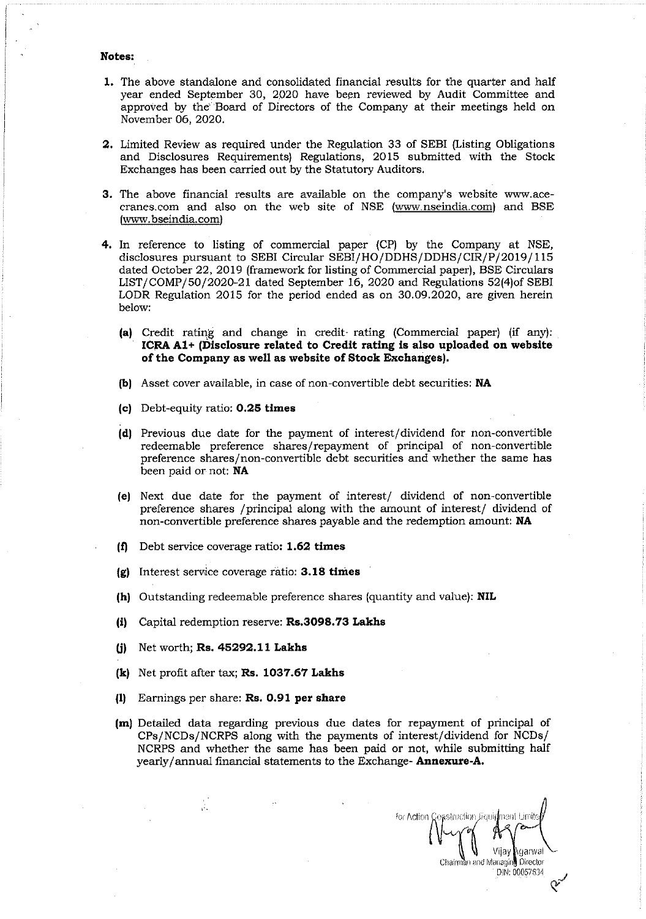### **Notes:**

- **1.** The above standalone and consolidated financial results for the quarter and half year ended September 30, 2020 have been reviewed by Audit Committee and approved by the' 'Board of Directors of the Company at their meetings held on November 06, 2020.
- **2.** Limited Review as required under the Regulation 33 of SEBI (Listing Obligations and Disclosures Requirements) Regulations, 2015 submitted with the Stock Exchanges has been carried out by the Statutory Auditors.
- **3.** The above financial results are available on the company's website www.acecranes.com and also on the web site of NSE (www.nseindia.com) and BSE (www.bseindia.com)
- **4.** In reference to listing of commercial paper (CP) by the Company at NSE, disclosures pursuant to SEBI Circular SEBI/HO/DDHS/DDHS/CIR/P/2019/115 dated October 22, 2019 (framework for listing of Commercial paper), BSE Circulars LIST/COMP/50/2020-21 dated September 16, 2020 and Regulations 52(4)of SEBI LODR Regulation 2015 for the period ended as on 30.09.2020, are given herein below:
	- **(a)** Credit rating and change in credit- rating (Commercial paper) (if any): **ICRAA1+ (Disclosure related to Credit rating is also uploaded on website of the Company as well as website of Stock Exchanges).**
	- **(b)** Asset cover available, in case of non-convertible debt securities: **NA**
	- **(c)** Debt-equity ratio: **0.25 times**
	- **(d)** Previous due date for the payment of interest/dividend for non-convertible redeemable preference shares/repayment of principal of non-convertible preference shares/non-convertible debt securities and whether the same has been paid or not: **NA**
	- **(e)** Next due date for the payment of interest/ dividend of non-convertible preference shares /principal along with the amount of interest/ dividend of non-convertible preference shares payable and the redemption amount: **NA**
	- **(f)** Debt servicecoverageratio: **1.62 times**
	- **(g)** Interest servicecoverageratio: **3.18 times**
	- **(h)** Outstanding redeemable preference shares (quantity and value):**NIL**
	- **(i)** Capital redemption reserve:**Rs.3098.73 Lakhs**
	- *W* Networth; **Rs. 45292.11 Lakhs**

 $\frac{1}{\sqrt{2}}$ 

- **(k)** Net profit after tax; **Rs. 1037.67 Lakhs**
- **(1)** Earnings per share: **Rs. 0.91 per share**
- **(m)** Detailed data regarding previous due dates for repayment of principal of CPs/NCDs/NCRPS along with the payments of interest/dividend for NCDs/ NCRPS and whether the same has been paid or not, while submitting half yearly/ annual financial statements to the Exchange-**Annexure-A.**

for Action Construction Jaquidment Limite Vijay Agarwal Chairman and Managing Director DIN: 00057634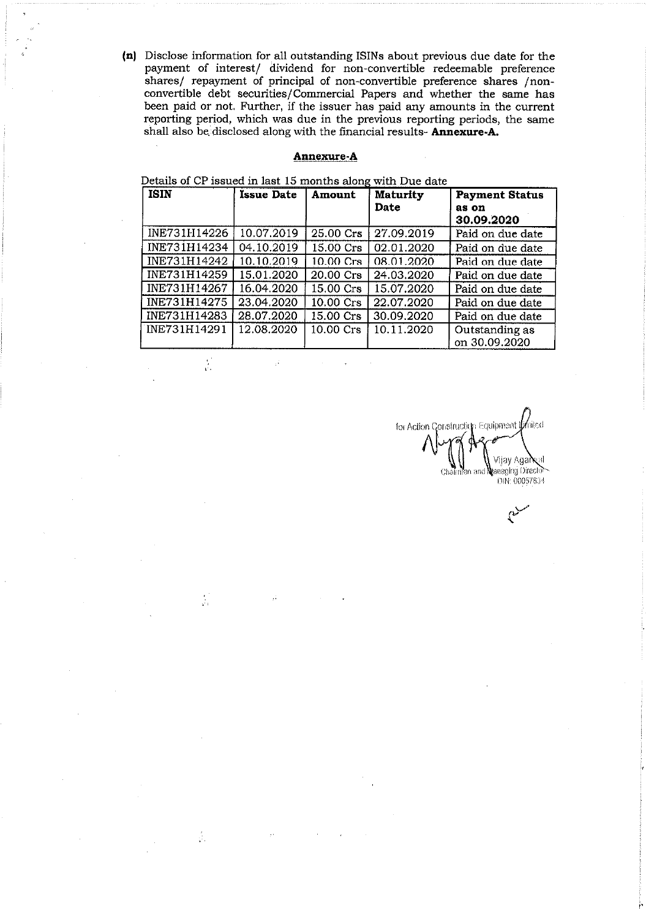(n) Disclose information for all outstanding ISINs about previous due date for the payment of interest/ dividend for non-convertible redeemable preference shares/ repayment of principal of non-convertible preference shares *[non*convertible debt securities/Commercial Papers and whether the same has been paid or not. Further, if the issuer has paid any amounts in the current reporting period, which was due in the previous reporting periods, the same shall also be disclosed along with the financial results- **Annexure-A.** 

### **Annexure-A**

Details of CP issued in last 15 months along with Due date

 $\frac{1}{2}$ 

 $\frac{2}{4\pi}$ 

 $\frac{1}{\sqrt{2}}$ 

| <b>ISIN</b>  | <b>Issue Date</b> | <b>Amount</b>       | <b>Maturity</b><br>Date | <b>Payment Status</b><br>as on<br>30.09.2020 |
|--------------|-------------------|---------------------|-------------------------|----------------------------------------------|
| INE731H14226 | 10.07.2019        | 25.00 Crs           | 27.09.2019              | Paid on due date                             |
| INE731H14234 | 04.10.2019        | 15.00 Crs           | 02.01.2020              | Paid on due date                             |
| INE731H14242 | 10.10.2019        | 10.00 Crs           | 08.01.2020              | Paid on due date                             |
| INE731H14259 | 15.01.2020        | 20.00 Crs           | 24.03.2020              | Paid on due date                             |
| INE731H14267 | 16.04.2020        | 15.00 Crs           | 15.07.2020              | Paid on due date                             |
| INE731H14275 | 23.04.2020        | 10.00 Crs           | 22.07.2020              | Paid on due date                             |
| INE731H14283 | 28.07.2020        | 15.00 Crs           | 30.09.2020              | Paid on due date                             |
| INE731H14291 | 12.08.2020        | $10.00 \text{ Crs}$ | 10.11.2020              | Outstanding as<br>on 30.09.2020              |

for Action Construction Equipment United Vijay Aga**ix**al Chairman and Managing Director DIN: 00057634

 $\sim$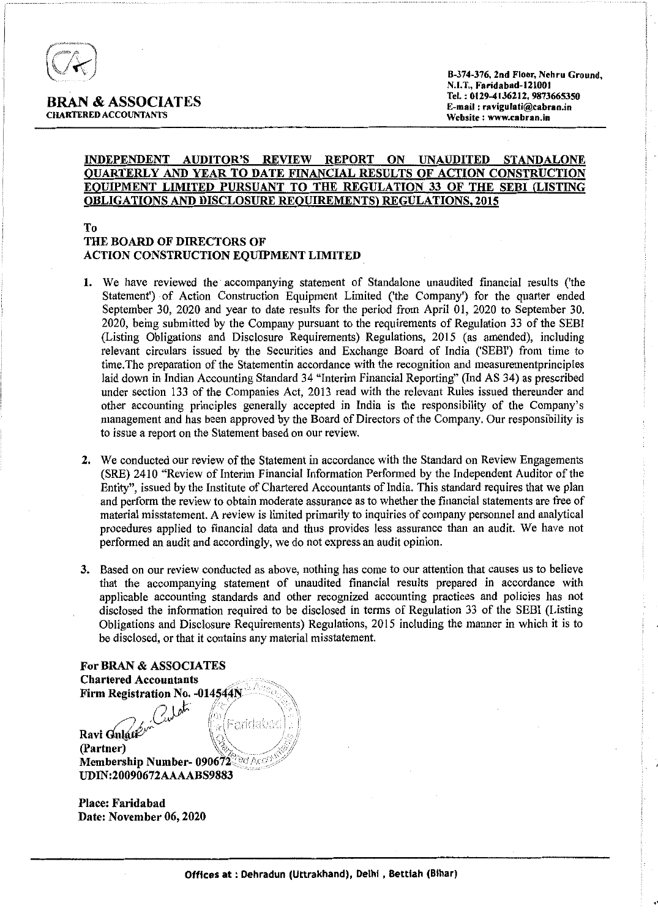

l'

### INDEPENDENT AUDITOR'S REVIEW REPORT ON UNAUDITED STANDALONE QUARTERLY AND YEAR TO DATE FINANCIAL RESULTS OF ACTION CONSTRUCTION EQUIPMENT LIMITED PURSUANT TO THE REGULATION 33 OF THE SEBI (LISTING OBLIGATIONS AND DISCLOSURE REQUIREMENTS) REGULATIONS. 2015

### To THE BOARD OF DIRECTORS OF ACTION CONSTRUCTION EQUIPMENT LIMITED

- 1. We have reviewed the accompanying statement of Standalone unaudited financial results ('the Statement') of Action Construction Equipment Limited ('the Company') for the quarter ended September 30, 2020 and year to date results for the period from April 01, 2020 to September 30. 2020, being submitted by the Company pursuant to the requirements of Regulation 33 of the SEBI (Listing Obligations and Disclosure Requirements) Regulations, 2015 (as amended), including relevant circulars issued by the Securities and Exchange Board of India ('SEBI') from time to time.The preparation of the Statementin accordance with the recognition and measurementprinciples laid down in Indian Accounting Standard 34 "Interim Financial Reporting" (Ind AS 34) as prescribed under section 133 of the Companies Act, 2013 read with the relevant Rules issued thereunder and other accounting principles generally accepted in India is the responsibility of the Company's management and has been approved by the Board of Directors of the Company. Our responsibility is to issue a report on the Statement based on our review.
- 2. We conducted our review of the Statement in accordance with the Standard on Review Engagements (SRE) 2410 "Review of Interim Financial Information Performed by the Independent Auditor of the Entity", issued by the Institute of Chartered Accountants of India. This standard requires that we plan and perform the review to obtain moderate assurance as to whether the financial statements are free of material misstatement. A review is limited primarily to inquiries of company personnel and analytical procedures applied to financial data and thus provides less assurance than an audit. We have not performed an audit and accordingly, we do not express an audit opinion.
- 3. Based on our review conducted as above, nothing has come to our attention that causes us to believe that the accompanying statement of unaudited financial results prepared in accordance with applicable accounting standards and other recognized accounting practices and policies has not disclosed the information required to be disclosed in terms of Regulation 33 of the SEBI (Listing Obligations and Disclosure Requirements) Regulations, 2015 including the manner in which it is to be disclosed, or that it contains any material misstatement.

For BRAN & ASSOCIATES **Chartered Accountants** Firm Registration No. - 014544N Culeti Faridabac Ravi Gulati<sup>2</sup> (Partner) Membership Number- 090672 UDIN:20090672AAAABS9883

Place: Faridabad Date: November 06, 2020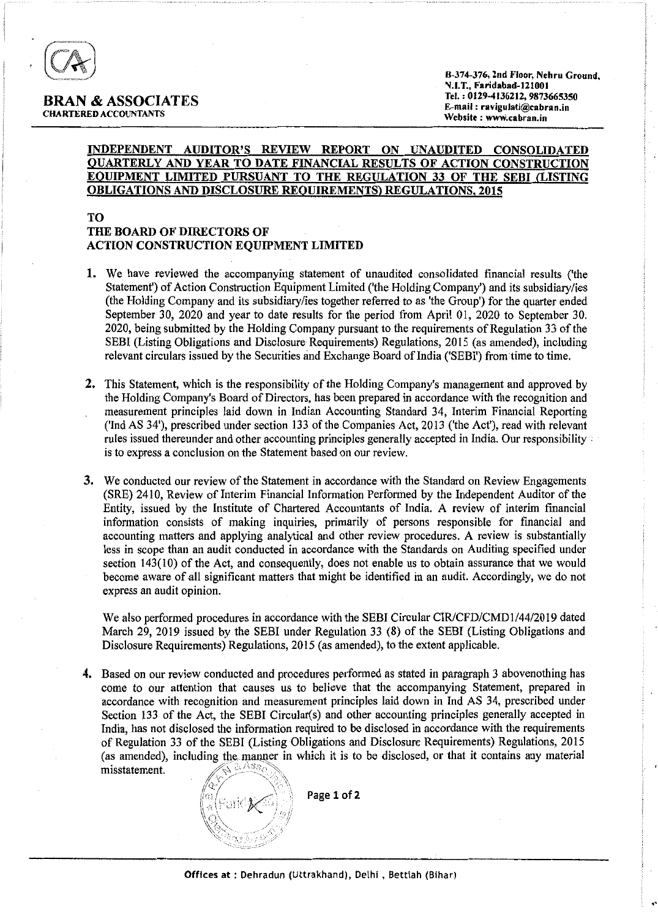

|<br>|<br>|<br>|<br>|<br>|

"

### INDEPENDENT AUDITOR'S REVIEW REPORT ON UNAUDITED CONSOLIDATED QUARTERLY AND YEAR TO DATE FINANCIAL RESULTS OF ACTION CONSTRUCTION EQUIPMENT LIMITED PURSUANT TO THE REGULATION 33 OF THE SEBI (LISTING OBLIGATIONS AND DISCLOSURE REQUIREMENTS) REGULATIONS, 2015

### TO THE BOARD OF DIRECTORS OF ACTION CONSTRUCTION EQUIPMENT LIMITED

- 1. We have reviewed the accompanying statement of unaudited consolidated financial results ('the Statement') of Action Construction Equipment Limited ('the Holding Company') and its subsidiary/ies (the Holding Company and its subsidiary/ies together referred to as 'the Group') for the quarter ended September 30, 2020 and year to date results for the period from April 01, 2020 to September 30. 2020, being submitted by the Holding Company pursuant to the requirements of Regulation 33 of the SEBI (Listing Obligations and Disclosure Requirements) Regulations, 2015 (as amended), including relevant circulars issued by the Securities and Exchange Board of India ('SEBI') fromtime to time.
- 2. This Statement, which is the responsibility of the Holding Company's management and approved by the Holding Company's Board of Directors, has been prepared in accordance with the recognition and measurement principles laid down in Indian Accounting Standard 34, Interim Financial Reporting ('Ind AS 34'), prescribed under section 133 of the Companies Act, 2013 ('the Act'), read with relevant rules issued thereunder and other accounting principles generally accepted in India. Our responsibility : is to express a conclusion on the Statement based on our review.
- 3. We conducted our review of the Statement in accordance with the Standard on Review Engagements (SRE) 2410, Review of Interim Financial Information Performed by the Independent Auditor of the Entity, issued by the Institute of Chartered Accountants of India. A review of interim financial information consists of making inquiries, primarily of persons responsible for financial and accounting matters and applying analytical and other review procedures. A review is substantially less in scope than an audit conducted in accordance with the Standards on Auditing specified under section 143(10) of the Act, and consequently, does not enable us to obtain assurance that we would become aware of all significant matters that might be identified in an audit. Accordingly, we do not express an audit opinion.

We also performed procedures in accordance with the SEBI Circular CIR/CFD/CMD1/44/2019 dated March 29, 2019 issued by the SEBI under Regulation 33 (8) of the SEBI (Listing Obligations and Disclosure Requirements) Regulations, 2015 (as amended), to the extent applicable.

4. Based on our review conducted and procedures performed as stated in paragraph 3 abovenothing has come to our attention that causes us to believe that the accompanying Statement, prepared in accordance with recognition and measurement principles laid down in Ind AS 34, prescribed under Section 133 of the Act, the SEBI Circular(s) and other accounting principles generally accepted in India, has not disclosed the information required to be disclosed in accordance with the requirements of Regulation 33 of the SEBI (Listing Obligations and Disclosure Requirements) Regulations, 2015 (as amended), including the manner in which it is to be disclosed, or that it contains any material misstatement.  $miss$  tatement.  $\sqrt{N}$ <sup>3, Ass</sup>



Page 1 of 2